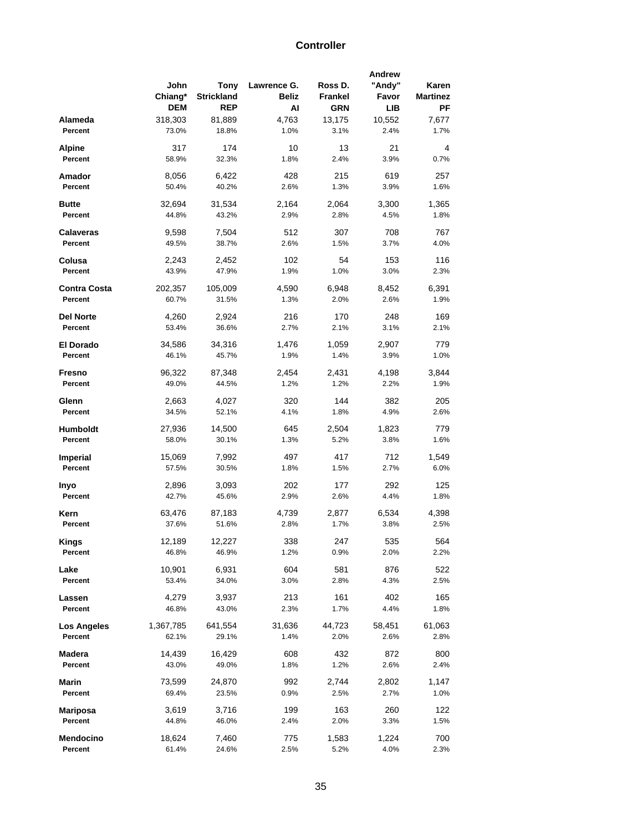## **Controller**

|                             |                 |                   |               |                | <b>Andrew</b> |                 |
|-----------------------------|-----------------|-------------------|---------------|----------------|---------------|-----------------|
|                             | John            | Tony              | Lawrence G.   | Ross D.        | "Andy"        | Karen           |
|                             | Chiang*         | <b>Strickland</b> | <b>Beliz</b>  | <b>Frankel</b> | Favor         | <b>Martinez</b> |
|                             | <b>DEM</b>      | <b>REP</b>        | AI            | <b>GRN</b>     | LIB           | РF              |
|                             |                 |                   |               |                |               |                 |
| Alameda                     | 318,303         | 81,889            | 4,763         | 13,175         | 10,552        | 7,677           |
| Percent                     | 73.0%           | 18.8%             | 1.0%          | 3.1%           | 2.4%          | 1.7%            |
| Alpine                      | 317             | 174               | 10            | 13             | 21            | 4               |
| Percent                     | 58.9%           | 32.3%             | 1.8%          | 2.4%           | 3.9%          | 0.7%            |
| Amador                      | 8,056           | 6,422             | 428           | 215            | 619           | 257             |
| Percent                     | 50.4%           | 40.2%             | 2.6%          | 1.3%           | 3.9%          | 1.6%            |
| <b>Butte</b>                | 32,694          | 31,534            | 2,164         | 2,064          | 3,300         | 1,365           |
|                             |                 |                   |               |                |               |                 |
| Percent                     | 44.8%           | 43.2%             | 2.9%          | 2.8%           | 4.5%          | 1.8%            |
| Calaveras                   | 9,598           | 7,504             | 512           | 307            | 708           | 767             |
| Percent                     | 49.5%           | 38.7%             | 2.6%          | 1.5%           | 3.7%          | 4.0%            |
| Colusa                      | 2,243           | 2,452             | 102           | 54             | 153           | 116             |
| Percent                     | 43.9%           | 47.9%             | 1.9%          | 1.0%           | 3.0%          | 2.3%            |
| Contra Costa                | 202,357         | 105,009           | 4,590         | 6,948          | 8,452         | 6,391           |
| Percent                     | 60.7%           | 31.5%             | 1.3%          | 2.0%           | 2.6%          | 1.9%            |
| <b>Del Norte</b>            | 4,260           | 2,924             | 216           | 170            | 248           | 169             |
| Percent                     | 53.4%           | 36.6%             | 2.7%          | 2.1%           | 3.1%          | 2.1%            |
|                             |                 |                   |               |                |               |                 |
| <b>El Dorado</b><br>Percent | 34,586<br>46.1% | 34,316<br>45.7%   | 1,476<br>1.9% | 1,059<br>1.4%  | 2,907<br>3.9% | 779<br>1.0%     |
|                             |                 |                   |               |                |               |                 |
| <b>Fresno</b><br>Percent    | 96,322<br>49.0% | 87,348<br>44.5%   | 2,454<br>1.2% | 2,431<br>1.2%  | 4,198<br>2.2% | 3,844<br>1.9%   |
|                             |                 |                   |               |                |               |                 |
| Glenn                       | 2,663           | 4,027             | 320           | 144            | 382           | 205             |
| Percent                     | 34.5%           | 52.1%             | 4.1%          | 1.8%           | 4.9%          | 2.6%            |
| Humboldt                    | 27,936          | 14,500            | 645           | 2,504          | 1,823         | 779             |
| Percent                     | 58.0%           | 30.1%             | 1.3%          | 5.2%           | 3.8%          | 1.6%            |
| <b>Imperial</b>             | 15,069          | 7,992             | 497           | 417            | 712           | 1,549           |
| Percent                     | 57.5%           | 30.5%             | 1.8%          | 1.5%           | 2.7%          | 6.0%            |
|                             |                 |                   |               |                |               |                 |
| Inyo                        | 2,896           | 3,093             | 202           | 177            | 292           | 125             |
| Percent                     | 42.7%           | 45.6%             | 2.9%          | 2.6%           | 4.4%          | 1.8%            |
| Kern                        | 63,476          | 87,183            | 4,739         | 2,877          | 6,534         | 4,398           |
| Percent                     | 37.6%           | 51.6%             | 2.8%          | 1.7%           | 3.8%          | 2.5%            |
| <b>Kings</b>                | 12,189          | 12,227            | 338           | 247            | 535           | 564             |
| Percent                     | 46.8%           | 46.9%             | 1.2%          | 0.9%           | 2.0%          | 2.2%            |
|                             |                 |                   |               |                |               |                 |
| Lake<br>Percent             | 10,901<br>53.4% | 6,931<br>34.0%    | 604<br>3.0%   | 581<br>2.8%    | 876<br>4.3%   | 522<br>2.5%     |
|                             |                 |                   |               |                |               |                 |
| Lassen                      | 4,279           | 3,937             | 213           | 161            | 402           | 165             |
| Percent                     | 46.8%           | 43.0%             | 2.3%          | 1.7%           | 4.4%          | 1.8%            |
| Los Angeles                 | 1,367,785       | 641,554           | 31,636        | 44,723         | 58,451        | 61,063          |
| Percent                     | 62.1%           | 29.1%             | 1.4%          | 2.0%           | 2.6%          | 2.8%            |
| Madera                      | 14,439          | 16,429            | 608           | 432            | 872           | 800             |
| Percent                     | 43.0%           | 49.0%             | 1.8%          | 1.2%           | 2.6%          | 2.4%            |
|                             |                 |                   |               |                |               |                 |
| <b>Marin</b>                | 73,599          | 24,870            | 992           | 2,744          | 2,802         | 1,147           |
| Percent                     | 69.4%           | 23.5%             | 0.9%          | 2.5%           | 2.7%          | 1.0%            |
| Mariposa                    | 3,619           | 3,716             | 199           | 163            | 260           | 122             |
| Percent                     | 44.8%           | 46.0%             | 2.4%          | 2.0%           | 3.3%          | 1.5%            |
| Mendocino                   | 18,624          | 7,460             | 775           | 1,583          | 1,224         | 700             |
| Percent                     | 61.4%           | 24.6%             | 2.5%          | 5.2%           | 4.0%          | 2.3%            |
|                             |                 |                   |               |                |               |                 |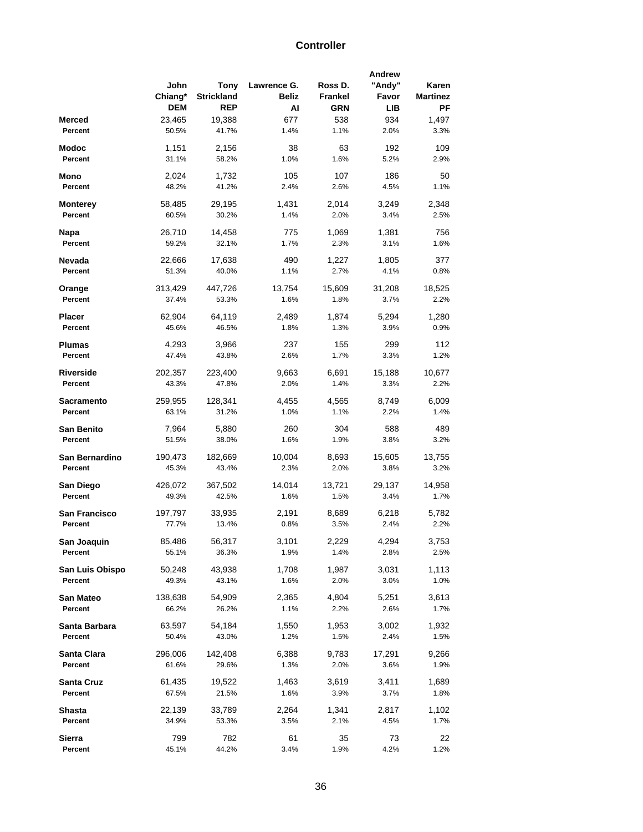## **Controller**

|                      |                |                   |              |            | <b>Andrew</b> |                 |
|----------------------|----------------|-------------------|--------------|------------|---------------|-----------------|
|                      | John           | Tony              | Lawrence G.  | Ross D.    | "Andy"        | Karen           |
|                      | Chiang*        | <b>Strickland</b> | <b>Beliz</b> | Frankel    | Favor         | <b>Martinez</b> |
|                      | <b>DEM</b>     | <b>REP</b>        | AI           | <b>GRN</b> | LIB           | РF              |
|                      |                |                   |              |            |               |                 |
| <b>Merced</b>        | 23,465         | 19,388            | 677          | 538        | 934           | 1,497           |
| Percent              | 50.5%          | 41.7%             | 1.4%         | 1.1%       | 2.0%          | 3.3%            |
| <b>Modoc</b>         | 1,151          | 2,156             | 38           | 63         | 192           | 109             |
| Percent              | 31.1%          | 58.2%             | 1.0%         | 1.6%       | 5.2%          | 2.9%            |
| Mono                 | 2,024          | 1,732             | 105          | 107        | 186           | 50              |
| Percent              | 48.2%          | 41.2%             | 2.4%         | 2.6%       | 4.5%          | 1.1%            |
| <b>Monterey</b>      | 58,485         | 29,195            | 1,431        | 2,014      | 3,249         | 2,348           |
| Percent              | 60.5%          | 30.2%             | 1.4%         | 2.0%       | 3.4%          | 2.5%            |
|                      |                |                   |              |            |               |                 |
| Napa                 | 26,710         | 14,458            | 775          | 1,069      | 1,381         | 756             |
| Percent              | 59.2%          | 32.1%             | 1.7%         | 2.3%       | 3.1%          | 1.6%            |
| Nevada               | 22,666         | 17,638            | 490          | 1,227      | 1,805         | 377             |
| Percent              | 51.3%          | 40.0%             | 1.1%         | 2.7%       | 4.1%          | 0.8%            |
| Orange               | 313,429        | 447,726           | 13,754       | 15,609     | 31,208        | 18,525          |
| Percent              | 37.4%          | 53.3%             | 1.6%         | 1.8%       | 3.7%          | 2.2%            |
| <b>Placer</b>        | 62,904         | 64,119            | 2,489        | 1.874      | 5,294         | 1,280           |
| Percent              | 45.6%          | 46.5%             | 1.8%         | 1.3%       | 3.9%          | 0.9%            |
| <b>Plumas</b>        |                |                   | 237          | 155        | 299           | 112             |
| Percent              | 4,293<br>47.4% | 3,966<br>43.8%    | 2.6%         | 1.7%       | 3.3%          | 1.2%            |
| Riverside            | 202,357        | 223,400           | 9,663        | 6,691      | 15,188        | 10,677          |
| Percent              | 43.3%          | 47.8%             | 2.0%         | 1.4%       | 3.3%          | 2.2%            |
|                      |                |                   |              |            |               |                 |
| Sacramento           | 259,955        | 128,341           | 4,455        | 4,565      | 8,749         | 6,009           |
| Percent              | 63.1%          | 31.2%             | 1.0%         | 1.1%       | 2.2%          | 1.4%            |
| <b>San Benito</b>    | 7,964          | 5,880             | 260          | 304        | 588           | 489             |
| Percent              | 51.5%          | 38.0%             | 1.6%         | 1.9%       | 3.8%          | 3.2%            |
|                      |                |                   |              |            |               |                 |
| San Bernardino       | 190,473        | 182,669           | 10,004       | 8,693      | 15,605        | 13,755          |
| Percent              | 45.3%          | 43.4%             | 2.3%         | 2.0%       | 3.8%          | 3.2%            |
| San Diego            | 426,072        | 367,502           | 14,014       | 13,721     | 29,137        | 14,958          |
| Percent              | 49.3%          | 42.5%             | 1.6%         | 1.5%       | 3.4%          | 1.7%            |
| <b>San Francisco</b> | 197,797        | 33,935            | 2,191        | 8,689      | 6,218         | 5,782           |
| Percent              |                | 13.4%             |              |            |               |                 |
|                      | 77.7%          |                   | 0.8%         | 3.5%       | 2.4%          | 2.2%            |
| San Joaquin          | 85,486         | 56,317            | 3,101        | 2,229      | 4,294         | 3,753           |
| Percent              | 55.1%          | 36.3%             | 1.9%         | 1.4%       | 2.8%          | 2.5%            |
| San Luis Obispo      | 50,248         | 43,938            | 1,708        | 1,987      | 3,031         | 1,113           |
| Percent              | 49.3%          | 43.1%             | 1.6%         | 2.0%       | 3.0%          | 1.0%            |
| San Mateo            | 138,638        | 54,909            | 2,365        | 4,804      | 5,251         | 3,613           |
| Percent              | 66.2%          | 26.2%             | 1.1%         | 2.2%       | 2.6%          | 1.7%            |
|                      |                |                   |              |            |               |                 |
| Santa Barbara        | 63,597         | 54,184            | 1,550        | 1,953      | 3,002         | 1,932           |
| Percent              | 50.4%          | 43.0%             | 1.2%         | 1.5%       | 2.4%          | 1.5%            |
| Santa Clara          | 296,006        | 142,408           | 6,388        | 9,783      | 17,291        | 9,266           |
| Percent              | 61.6%          | 29.6%             | 1.3%         | 2.0%       | 3.6%          | 1.9%            |
| Santa Cruz           | 61,435         | 19,522            | 1,463        | 3,619      | 3,411         | 1,689           |
| Percent              | 67.5%          | 21.5%             | 1.6%         | 3.9%       | 3.7%          | 1.8%            |
| Shasta               | 22,139         | 33,789            | 2,264        | 1,341      | 2,817         | 1,102           |
| Percent              | 34.9%          | 53.3%             | 3.5%         | 2.1%       | 4.5%          | 1.7%            |
|                      |                |                   |              |            |               |                 |
| Sierra               | 799            | 782               | 61           | 35         | 73            | 22              |
| Percent              | 45.1%          | 44.2%             | 3.4%         | 1.9%       | 4.2%          | 1.2%            |